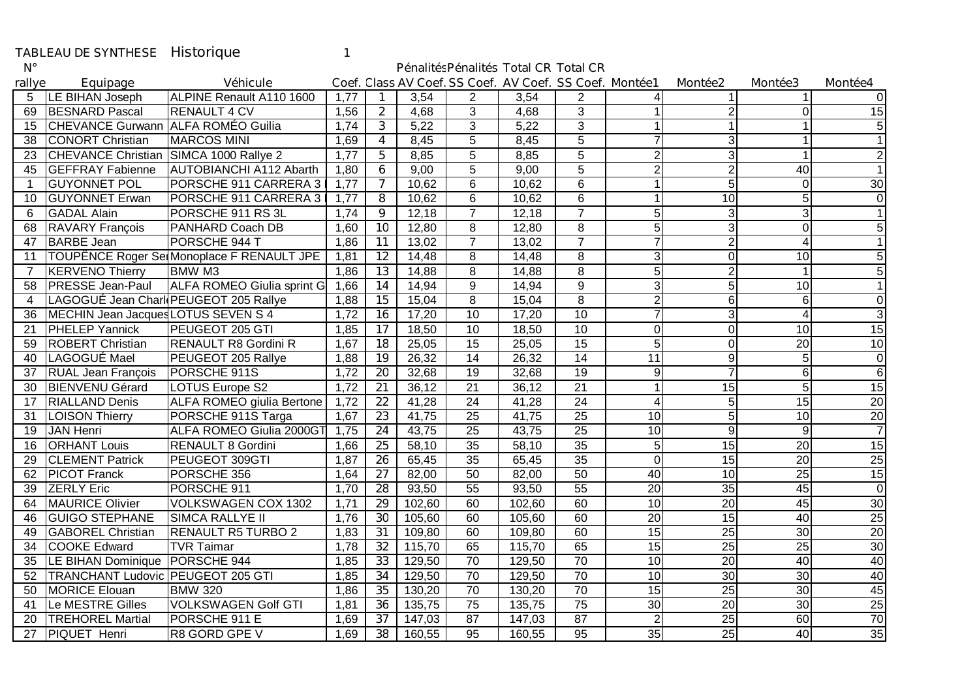## TABLEAU DE SYNTHESE Historique 1<br>N°

## Pénalités Pénalités Total CR Total CR

| rallye         | Equipage                                 | <b>Véhicule</b>                           |      |                |        |                 | Coef. Class AV Coef. SS Coef. AV Coef. SS Coef. Montée1 |                 |                 | Montée2         | <b>Montée3</b>  | Montée4         |
|----------------|------------------------------------------|-------------------------------------------|------|----------------|--------|-----------------|---------------------------------------------------------|-----------------|-----------------|-----------------|-----------------|-----------------|
| 5              | <b>LE BIHAN Joseph</b>                   | ALPINE Renault A110 1600                  | 1,77 |                | 3,54   | 2               | 3,54                                                    | 2               | 4               |                 |                 | ΩI              |
| 69             | <b>BESNARD Pascal</b>                    | <b>RENAULT 4 CV</b>                       | 1,56 | $\overline{2}$ | 4,68   | 3               | 4,68                                                    | 3               | 1               | $\overline{2}$  | 0               | 15              |
| 15             | CHEVANCE Gurwann ALFA ROMÉO Guilia       |                                           | 1,74 | $\mathbf{3}$   | 5,22   | 3               | 5,22                                                    | 3               |                 |                 |                 | 5               |
| 38             | <b>CONORT Christian</b>                  | <b>MARCOS MINI</b>                        | 1,69 | 4              | 8,45   | 5               | 8,45                                                    | 5               |                 | 3               |                 | $\overline{1}$  |
| 23             | CHEVANCE Christian SIMCA 1000 Rallye 2   |                                           | 1,77 | 5              | 8,85   | 5               | 8,85                                                    | $\overline{5}$  | $\overline{c}$  | $\overline{3}$  |                 | $\overline{2}$  |
| 45             | <b>GEFFRAY Fabienne</b>                  | <b>AUTOBIANCHI A112 Abarth</b>            | 1,80 | 6              | 9,00   | 5               | 9.00                                                    | 5               | 2               | $\overline{2}$  | 40              | $\mathbf{1}$    |
| -1             | <b>GUYONNET POL</b>                      | PORSCHE 911 CARRERA 3                     | 1,77 | $\overline{7}$ | 10,62  | 6               | 10,62                                                   | 6               | 1               | 5 <sup>1</sup>  | $\Omega$        | 30              |
| 10             | <b>GUYONNET Erwan</b>                    | PORSCHE 911 CARRERA 31                    | 1,77 | 8              | 10,62  | 6               | 10,62                                                   | 6               | 1               | 10              | 5               | $\overline{0}$  |
| 6              | <b>GADAL Alain</b>                       | PORSCHE 911 RS 3L                         | 1,74 | 9              | 12,18  | $\overline{7}$  | 12,18                                                   | $\overline{7}$  | 5               | $\overline{3}$  |                 | $\mathbf{1}$    |
| 68             | <b>RAVARY Francois</b>                   | PANHARD Coach DB                          | 1,60 | 10             | 12,80  | 8               | 12,80                                                   | 8               | 5               | $\overline{3}$  | $\Omega$        | 5               |
| 47             | <b>BARBE</b> Jean                        | PORSCHE 944 T                             | 1,86 | 11             | 13,02  | $\overline{7}$  | 13,02                                                   | $\overline{7}$  |                 | $\overline{2}$  | 4               | $\mathbf{1}$    |
| 11             |                                          | TOUPËNCE Roger SelMonoplace F RENAULT JPE | 1,81 | 12             | 14,48  | 8               | 14,48                                                   | 8               | 3               | $\Omega$        | 10              | 5               |
| $\overline{7}$ | <b>KERVENO Thierry</b>                   | <b>BMW M3</b>                             | 1,86 | 13             | 14,88  | 8               | 14,88                                                   | 8               | 5               | $\overline{2}$  |                 | 5               |
| 58             | <b>PRESSE Jean-Paul</b>                  | ALFA ROMEO Giulia sprint G                | 1,66 | 14             | 14,94  | 9               | 14,94                                                   | 9               | 3               | 5 <sup>1</sup>  | 10              | $\mathbf{1}$    |
| 4              | LAGOGUÉ Jean Charl PEUGEOT 205 Rallye    |                                           | 1,88 | 15             | 15,04  | 8               | 15,04                                                   | 8               | $\overline{c}$  | 6               | 6               | $\overline{0}$  |
| 36             | MECHIN Jean Jacques LOTUS SEVEN S 4      |                                           | 1,72 | 16             | 17,20  | $\overline{10}$ | 17,20                                                   | 10              | 7               | 3               | 4               | $\overline{3}$  |
| 21             | <b>PHELEP Yannick</b>                    | PEUGEOT 205 GTI                           | 1,85 | 17             | 18,50  | 10              | 18,50                                                   | $\overline{10}$ | 0               | $\Omega$        | 10              | 15              |
| 59             | <b>ROBERT Christian</b>                  | <b>RENAULT R8 Gordini R</b>               | 1,67 | 18             | 25,05  | 15              | 25,05                                                   | $\overline{15}$ | 5               | $\overline{0}$  | 20              | 10              |
| 40             | LAGOGUÉ Mael                             | PEUGEOT 205 Rallye                        | 1,88 | 19             | 26,32  | 14              | 26,32                                                   | 14              | 11              | 9               | 5               | $\overline{0}$  |
| 37             | <b>RUAL Jean François</b>                | PORSCHE 911S                              | 1,72 | 20             | 32,68  | 19              | 32,68                                                   | 19              | 9               | 7               | 6               | $\overline{6}$  |
| 30             | <b>BIENVENU Gérard</b>                   | <b>LOTUS Europe S2</b>                    | 1,72 | 21             | 36,12  | 21              | 36,12                                                   | $\overline{21}$ |                 | 15              | 5               | 15              |
| 17             | <b>RIALLAND Denis</b>                    | ALFA ROMEO giulia Bertone                 | 1,72 | 22             | 41,28  | 24              | 41,28                                                   | 24              | 4               | 5 <sup>1</sup>  | 15              | 20              |
| 31             | <b>LOISON Thierry</b>                    | PORSCHE 911S Targa                        | 1,67 | 23             | 41,75  | 25              | 41,75                                                   | $\overline{25}$ | 10              | 5 <sup>1</sup>  | $\overline{10}$ | 20              |
| 19             | <b>JAN Henri</b>                         | ALFA ROMEO Giulia 2000GT                  | 1,75 | 24             | 43,75  | 25              | 43,75                                                   | 25              | 10              | 9               | 9               | $\overline{7}$  |
| 16             | <b>ORHANT Louis</b>                      | <b>RENAULT 8 Gordini</b>                  | 1,66 | 25             | 58,10  | 35              | 58,10                                                   | 35              | 5               | 15              | $\overline{20}$ | $\overline{15}$ |
| 29             | <b>CLEMENT Patrick</b>                   | PEUGEOT 309GTI                            | 1,87 | 26             | 65,45  | $\overline{35}$ | 65,45                                                   | 35              | $\overline{0}$  | 15              | $\overline{20}$ | 25              |
| 62             | <b>PICOT Franck</b>                      | PORSCHE 356                               | 1,64 | 27             | 82,00  | 50              | 82,00                                                   | 50              | 40              | 10              | $\overline{25}$ | 15              |
| 39             | <b>ZERLY Eric</b>                        | PORSCHE 911                               | 1,70 | 28             | 93,50  | 55              | 93,50                                                   | $\overline{55}$ | $\overline{20}$ | 35              | 45              | $\overline{0}$  |
| 64             | <b>MAURICE Olivier</b>                   | <b>VOLKSWAGEN COX 1302</b>                | 1,71 | 29             | 102,60 | 60              | 102,60                                                  | 60              | $\overline{10}$ | $\overline{20}$ | 45              | $\overline{30}$ |
| 46             | <b>GUIGO STEPHANE</b>                    | <b>SIMCA RALLYE II</b>                    | 1,76 | 30             | 105,60 | 60              | 105,60                                                  | 60              | $\overline{20}$ | 15              | 40              | $\overline{25}$ |
| 49             | <b>GABOREL Christian</b>                 | <b>RENAULT R5 TURBO 2</b>                 | 1,83 | 31             | 109,80 | 60              | 109,80                                                  | 60              | $\overline{15}$ | 25              | 30              | $\overline{20}$ |
| 34             | <b>COOKE Edward</b>                      | <b>TVR Taimar</b>                         | 1,78 | 32             | 115,70 | 65              | 115,70                                                  | 65              | $\overline{15}$ | $\overline{25}$ | $\overline{25}$ | 30              |
| 35             | LE BIHAN Dominique                       | PORSCHE 944                               | 1,85 | 33             | 129,50 | 70              | 129,50                                                  | 70              | 10              | 20              | 40              | $\overline{40}$ |
| 52             | <b>TRANCHANT Ludovic PEUGEOT 205 GTI</b> |                                           | 1,85 | 34             | 129,50 | 70              | 129,50                                                  | 70              | $\overline{10}$ | $\overline{30}$ | $\overline{30}$ | 40              |
| 50             | <b>MORICE Elouan</b>                     | <b>BMW 320</b>                            | 1,86 | 35             | 130,20 | 70              | 130,20                                                  | $\overline{70}$ | 15              | 25              | 30              | 45              |
| 41             | Le MESTRE Gilles                         | <b>VOLKSWAGEN Golf GTI</b>                | 1,81 | 36             | 135,75 | 75              | 135,75                                                  | 75              | 30              | 20              | $\overline{30}$ | 25              |
| 20             | <b>TREHOREL Martial</b>                  | PORSCHE 911 E                             | 1,69 | 37             | 147,03 | 87              | 147,03                                                  | 87              | $\overline{2}$  | $\overline{25}$ | 60              | 70              |
| 27             | <b>PIQUET Henri</b>                      | R8 GORD GPE V                             | 1,69 | 38             | 160,55 | 95              | 160,55                                                  | 95              | 35              | 25              | 40              | 35              |